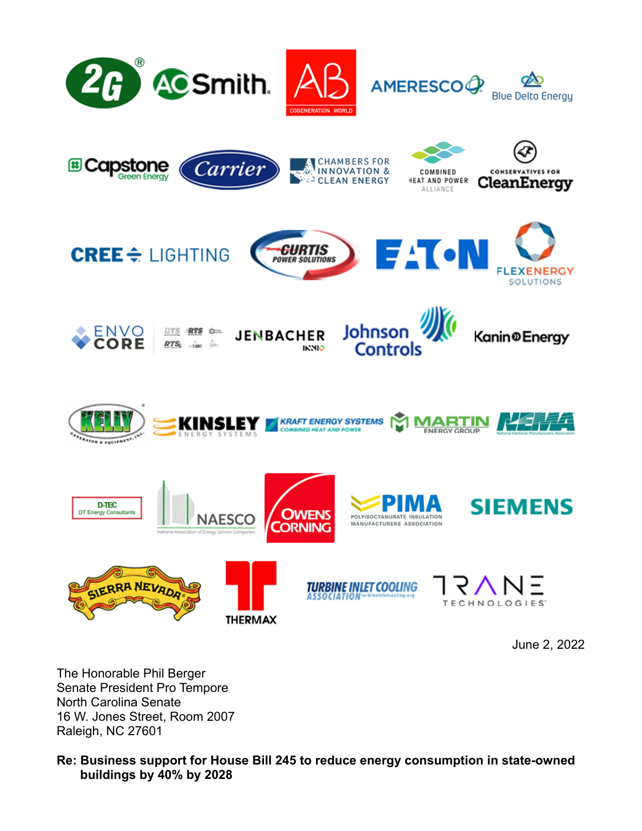

June 2, 2022

The Honorable Phil Berger Senate President Pro Tempore North Carolina Senate 16 W. Jones Street, Room 2007 Raleigh, NC 27601

## **Re: Business support for House Bill 245 to reduce energy consumption in state-owned buildings by 40% by 2028**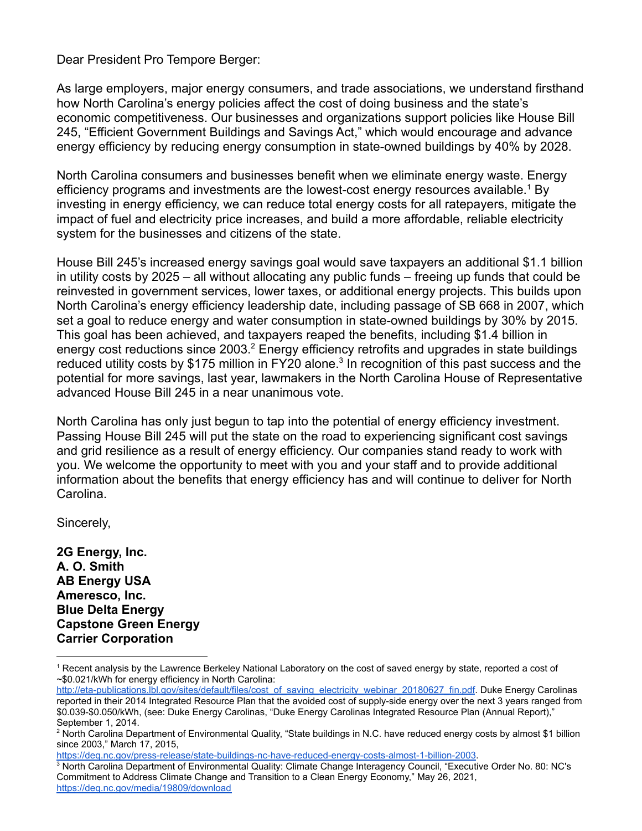Dear President Pro Tempore Berger:

As large employers, major energy consumers, and trade associations, we understand firsthand how North Carolina's energy policies affect the cost of doing business and the state's economic competitiveness. Our businesses and organizations support policies like House Bill 245, "Efficient Government Buildings and Savings Act," which would encourage and advance energy efficiency by reducing energy consumption in state-owned buildings by 40% by 2028.

North Carolina consumers and businesses benefit when we eliminate energy waste. Energy efficiency programs and investments are the lowest-cost energy resources available.<sup>1</sup> By investing in energy efficiency, we can reduce total energy costs for all ratepayers, mitigate the impact of fuel and electricity price increases, and build a more affordable, reliable electricity system for the businesses and citizens of the state.

House Bill 245's increased energy savings goal would save taxpayers an additional \$1.1 billion in utility costs by 2025 – all without allocating any public funds – freeing up funds that could be reinvested in government services, lower taxes, or additional energy projects. This builds upon North Carolina's energy efficiency leadership date, including passage of SB 668 in 2007, which set a goal to reduce energy and water consumption in state-owned buildings by 30% by 2015. This goal has been achieved, and taxpayers reaped the benefits, including \$1.4 billion in energy cost reductions since 2003.<sup>2</sup> Energy efficiency retrofits and upgrades in state buildings reduced utility costs by \$175 million in FY20 alone.<sup>3</sup> In recognition of this past success and the potential for more savings, last year, lawmakers in the North Carolina House of Representative advanced House Bill 245 in a near unanimous vote.

North Carolina has only just begun to tap into the potential of energy efficiency investment. Passing House Bill 245 will put the state on the road to experiencing significant cost savings and grid resilience as a result of energy efficiency. Our companies stand ready to work with you. We welcome the opportunity to meet with you and your staff and to provide additional information about the benefits that energy efficiency has and will continue to deliver for North Carolina.

Sincerely,

**2G Energy, Inc. A. O. Smith AB Energy USA Ameresco, Inc. Blue Delta Energy Capstone Green Energy Carrier Corporation**

<https://deq.nc.gov/press-release/state-buildings-nc-have-reduced-energy-costs-almost-1-billion-2003>.

<sup>1</sup> Recent analysis by the Lawrence Berkeley National Laboratory on the cost of saved energy by state, reported a cost of ~\$0.021/kWh for energy efficiency in North Carolina:

[http://eta-publications.lbl.gov/sites/default/files/cost\\_of\\_saving\\_electricity\\_webinar\\_20180627\\_fin.pdf](http://eta-publications.lbl.gov/sites/default/files/cost_of_saving_electricity_webinar_20180627_fin.pdf). Duke Energy Carolinas reported in their 2014 Integrated Resource Plan that the avoided cost of supply-side energy over the next 3 years ranged from \$0.039-\$0.050/kWh, (see: Duke Energy Carolinas, "Duke Energy Carolinas Integrated Resource Plan (Annual Report)," September 1, 2014.

<sup>&</sup>lt;sup>2</sup> North Carolina Department of Environmental Quality, "State buildings in N.C. have reduced energy costs by almost \$1 billion since 2003," March 17, 2015,

<sup>3</sup> North Carolina Department of Environmental Quality: Climate Change Interagency Council, "Executive Order No. 80: NC's Commitment to Address Climate Change and Transition to a Clean Energy Economy," May 26, 2021, <https://deq.nc.gov/media/19809/download>